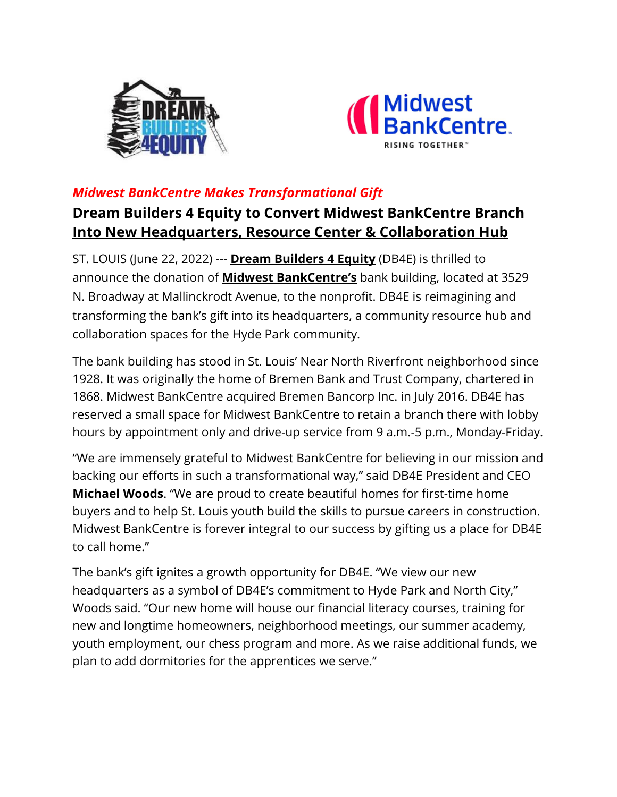



## *Midwest BankCentre Makes Transformational Gift*

# **Dream Builders 4 Equity to Convert Midwest BankCentre Branch Into New Headquarters, Resource Center & Collaboration Hub**

ST. LOUIS (June 22, 2022) --- **Dream Builders 4 Equity** (DB4E) is thrilled to announce the donation of **Midwest BankCentre's** bank building, located at 3529 N. Broadway at Mallinckrodt Avenue, to the nonprofit. DB4E is reimagining and transforming the bank's gift into its headquarters, a community resource hub and collaboration spaces for the Hyde Park community.

The bank building has stood in St. Louis' Near North Riverfront neighborhood since 1928. It was originally the home of Bremen Bank and Trust Company, chartered in 1868. Midwest BankCentre acquired Bremen Bancorp Inc. in July 2016. DB4E has reserved a small space for Midwest BankCentre to retain a branch there with lobby hours by appointment only and drive-up service from 9 a.m.-5 p.m., Monday-Friday.

"We are immensely grateful to Midwest BankCentre for believing in our mission and backing our efforts in such a transformational way," said DB4E President and CEO **Michael Woods**. "We are proud to create beautiful homes for first-time home buyers and to help St. Louis youth build the skills to pursue careers in construction. Midwest BankCentre is forever integral to our success by gifting us a place for DB4E to call home."

The bank's gift ignites a growth opportunity for DB4E. "We view our new headquarters as a symbol of DB4E's commitment to Hyde Park and North City," Woods said. "Our new home will house our financial literacy courses, training for new and longtime homeowners, neighborhood meetings, our summer academy, youth employment, our chess program and more. As we raise additional funds, we plan to add dormitories for the apprentices we serve."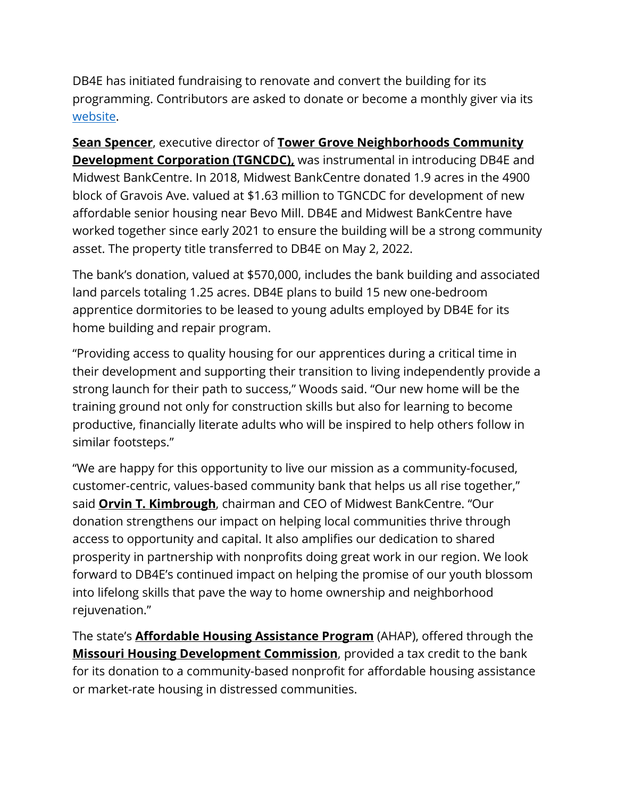DB4E has initiated fundraising to renovate and convert the building for its programming. Contributors are asked to donate or become a monthly giver via its [website.](https://www.dreambuilders4equity.org/)

**Sean Spencer**, executive director of **Tower Grove Neighborhoods Community Development Corporation (TGNCDC)**, was instrumental in introducing DB4E and Midwest BankCentre. In 2018, Midwest BankCentre donated 1.9 acres in the 4900 block of Gravois Ave. valued at \$1.63 million to TGNCDC for development of new affordable senior housing near Bevo Mill. DB4E and Midwest BankCentre have worked together since early 2021 to ensure the building will be a strong community asset. The property title transferred to DB4E on May 2, 2022.

The bank's donation, valued at \$570,000, includes the bank building and associated land parcels totaling 1.25 acres. DB4E plans to build 15 new one-bedroom apprentice dormitories to be leased to young adults employed by DB4E for its home building and repair program.

"Providing access to quality housing for our apprentices during a critical time in their development and supporting their transition to living independently provide a strong launch for their path to success," Woods said. "Our new home will be the training ground not only for construction skills but also for learning to become productive, financially literate adults who will be inspired to help others follow in similar footsteps."

"We are happy for this opportunity to live our mission as a community-focused, customer-centric, values-based community bank that helps us all rise together," said **Orvin T. Kimbrough**, chairman and CEO of Midwest BankCentre. "Our donation strengthens our impact on helping local communities thrive through access to opportunity and capital. It also amplifies our dedication to shared prosperity in partnership with nonprofits doing great work in our region. We look forward to DB4E's continued impact on helping the promise of our youth blossom into lifelong skills that pave the way to home ownership and neighborhood rejuvenation."

The state's **Affordable Housing Assistance Program** (AHAP), offered through the **Missouri Housing Development Commission**, provided a tax credit to the bank for its donation to a community-based nonprofit for affordable housing assistance or market-rate housing in distressed communities.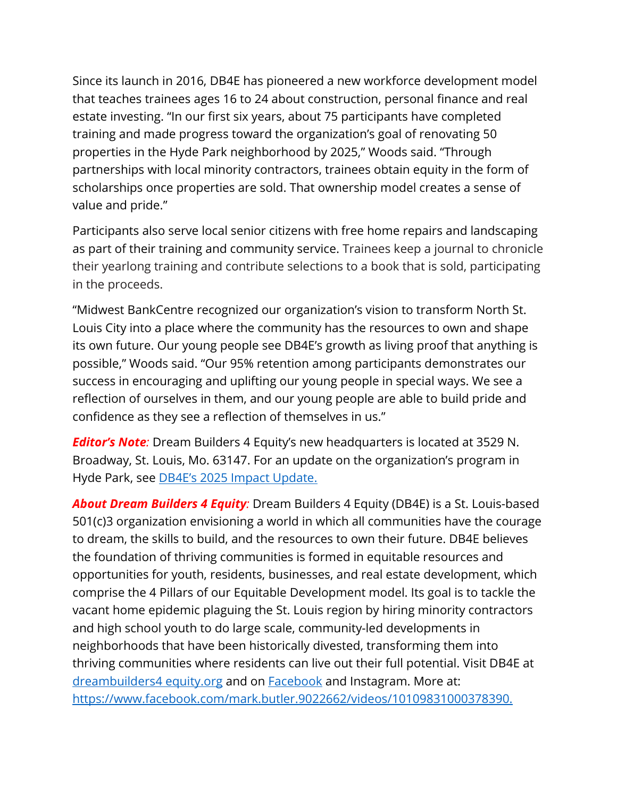Since its launch in 2016, DB4E has pioneered a new workforce development model that teaches trainees ages 16 to 24 about construction, personal finance and real estate investing. "In our first six years, about 75 participants have completed training and made progress toward the organization's goal of renovating 50 properties in the Hyde Park neighborhood by 2025," Woods said. "Through partnerships with local minority contractors, trainees obtain equity in the form of scholarships once properties are sold. That ownership model creates a sense of value and pride."

Participants also serve local senior citizens with free home repairs and landscaping as part of their training and community service. Trainees keep a journal to chronicle their yearlong training and contribute selections to a book that is sold, participating in the proceeds.

"Midwest BankCentre recognized our organization's vision to transform North St. Louis City into a place where the community has the resources to own and shape its own future. Our young people see DB4E's growth as living proof that anything is possible," Woods said. "Our 95% retention among participants demonstrates our success in encouraging and uplifting our young people in special ways. We see a reflection of ourselves in them, and our young people are able to build pride and confidence as they see a reflection of themselves in us."

*Editor's Note:* Dream Builders 4 Equity's new headquarters is located at 3529 N. Broadway, St. Louis, Mo. 63147. For an update on the organization's program in Hyde Park, see [DB4E's 2025 Impact Update.](https://www.dreambuilders4equity.org/updates/hydepark2025impactupdate)

*About Dream Builders 4 Equity:* Dream Builders 4 Equity (DB4E) is a St. Louis-based 501(c)3 organization envisioning a world in which all communities have the courage to dream, the skills to build, and the resources to own their future. DB4E believes the foundation of thriving communities is formed in equitable resources and opportunities for youth, residents, businesses, and real estate development, which comprise the 4 Pillars of our Equitable Development model. Its goal is to tackle the vacant home epidemic plaguing the St. Louis region by hiring minority contractors and high school youth to do large scale, community-led developments in neighborhoods that have been historically divested, transforming them into thriving communities where residents can live out their full potential. Visit DB4E a[t](http://www.dreambuilders4equity.org/) [dreambuilders4 equity.org](http://www.dreambuilders4equity.org/) and on [Facebook](https://www.facebook.com/search/top?q=dream%20builders%204%20equity) and Instagram. More at: [https://www.facebook.com/mark.butler.9022662/videos/10109831000378390.](https://www.facebook.com/mark.butler.9022662/videos/10109831000378390)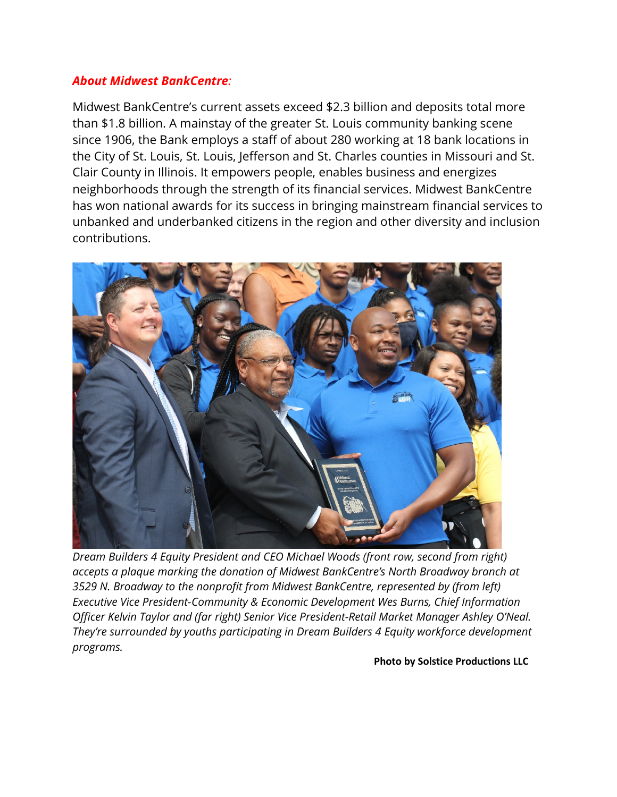#### *About Midwest BankCentre:*

Midwest BankCentre's current assets exceed \$2.3 billion and deposits total more than \$1.8 billion. A mainstay of the greater St. Louis community banking scene since 1906, the Bank employs a staff of about 280 working at 18 bank locations in the City of St. Louis, St. Louis, Jefferson and St. Charles counties in Missouri and St. Clair County in Illinois. It empowers people, enables business and energizes neighborhoods through the strength of its financial services. Midwest BankCentre has won national awards for its success in bringing mainstream financial services to unbanked and underbanked citizens in the region and other diversity and inclusion contributions.



*Dream Builders 4 Equity President and CEO Michael Woods (front row, second from right) accepts a plaque marking the donation of Midwest BankCentre's North Broadway branch at 3529 N. Broadway to the nonprofit from Midwest BankCentre, represented by (from left) Executive Vice President-Community & Economic Development Wes Burns, Chief Information Officer Kelvin Taylor and (far right) Senior Vice President-Retail Market Manager Ashley O'Neal. They're surrounded by youths participating in Dream Builders 4 Equity workforce development programs.*

**Photo by Solstice Productions LLC**